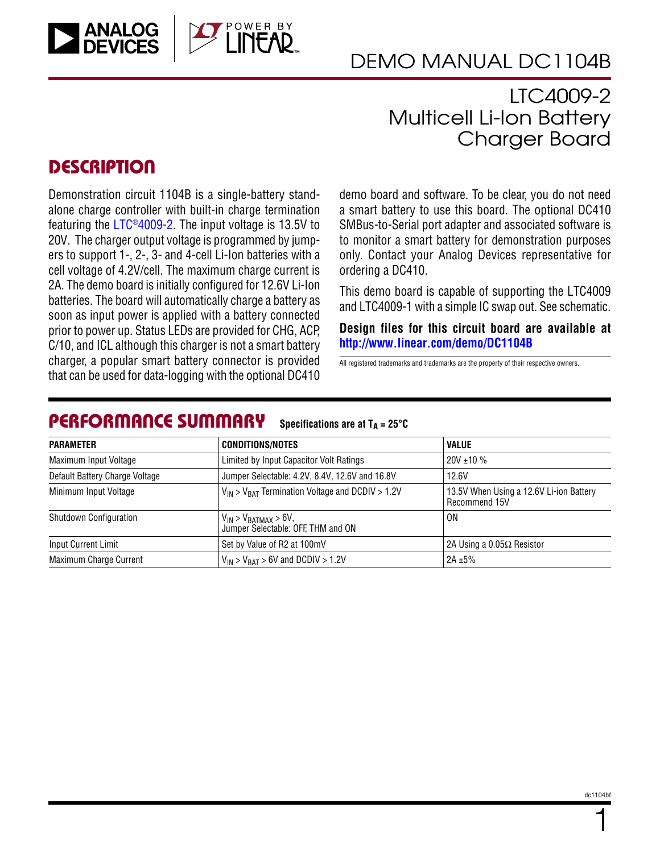

## LTC4009-2 Multicell Li-Ion Battery Charger Board

### **DESCRIPTION**

Demonstration circuit 1104B is a single-battery standalone charge controller with built-in charge termination featuring the LTC®40[0](http://www.linear.com/LTC4009)9-2. The input voltage is 13.5V to 20V. The charger output voltage is programmed by jumpers to support 1-, 2-, 3- and 4-cell Li-Ion batteries with a cell voltage of 4.2V/cell. The maximum charge current is 2A. The demo board is initially configured for 12.6V Li-Ion batteries. The board will automatically charge a battery as soon as input power is applied with a battery connected prior to power up. Status LEDs are provided for CHG, ACP, C/10, and ICL although this charger is not a smart battery charger, a popular smart battery connector is provided that can be used for data-logging with the optional DC410

demo board and software. To be clear, you do not need a smart battery to use this board. The optional DC410 SMBus-to-Serial port adapter and associated software is to monitor a smart battery for demonstration purposes only. Contact your Analog Devices representative for ordering a DC410.

This demo board is capable of supporting the LTC4009 and LTC4009-1 with a simple IC swap out. See schematic.

**Design files for this circuit board are available at <http://www.linear.com/demo/DC1104B>**

All registered trademarks and trademarks are the property of their respective owners.

#### PERFORMANCE SUMMARY **Specifications are at**  $T_A = 25^\circ C$

| <b>PARAMETER</b>               | <b>CONDITIONS/NOTES</b>                                             | <b>VALUE</b><br>$20V \pm 10 \%$                          |  |
|--------------------------------|---------------------------------------------------------------------|----------------------------------------------------------|--|
| Maximum Input Voltage          | Limited by Input Capacitor Volt Ratings                             |                                                          |  |
| Default Battery Charge Voltage | Jumper Selectable: 4.2V, 8.4V, 12.6V and 16.8V                      | 12.6V                                                    |  |
| Minimum Input Voltage          | $V_{IN}$ > $V_{BAT}$ Termination Voltage and DCDIV > 1.2V           | 13.5V When Using a 12.6V Li-ion Battery<br>Recommend 15V |  |
| <b>Shutdown Configuration</b>  | $V_{IN}$ > $V_{BATMAX}$ > 6V,<br>Jumper Selectable: OFF, THM and ON | 0N                                                       |  |
| <b>Input Current Limit</b>     | Set by Value of R2 at 100mV                                         | 2A Using a $0.05\Omega$ Resistor                         |  |
| Maximum Charge Current         | $V_{IN}$ > $V_{BAT}$ > 6V and DCDIV > 1.2V                          | 2A $\pm$ 5%                                              |  |

1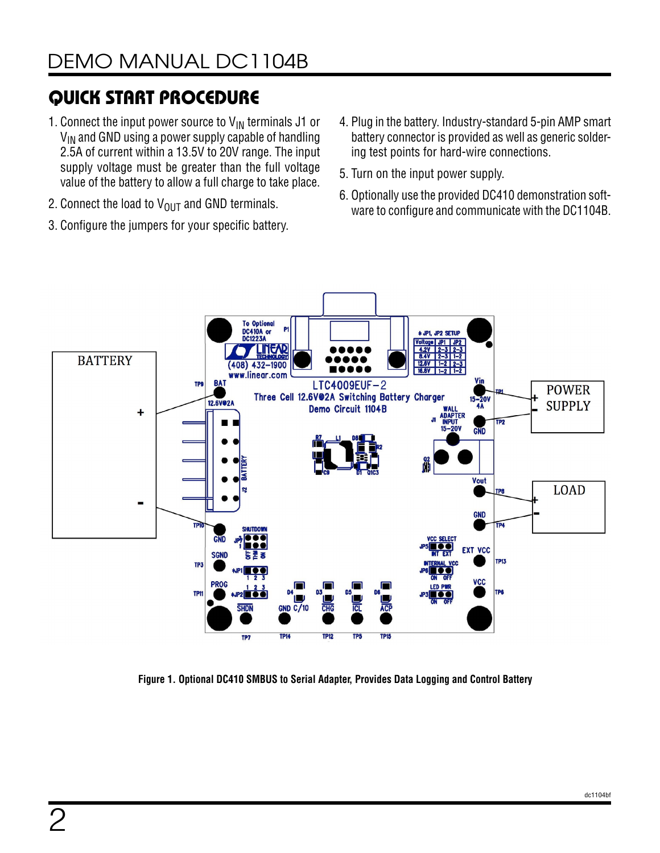# QUICK START PROCEDURE

- 1. Connect the input power source to  $V_{\text{IN}}$  terminals J1 or  $V_{IN}$  and GND using a power supply capable of handling 2.5A of current within a 13.5V to 20V range. The input supply voltage must be greater than the full voltage value of the battery to allow a full charge to take place.
- 2. Connect the load to  $V_{OUT}$  and GND terminals.
- 3. Configure the jumpers for your specific battery.
- 4. Plug in the battery. Industry-standard 5-pin AMP smart battery connector is provided as well as generic soldering test points for hard-wire connections.
- 5. Turn on the input power supply.
- 6. Optionally use the provided DC410 demonstration software to configure and communicate with the DC1104B.



**Figure 1. Optional DC410 SMBUS to Serial Adapter, Provides Data Logging and Control Battery**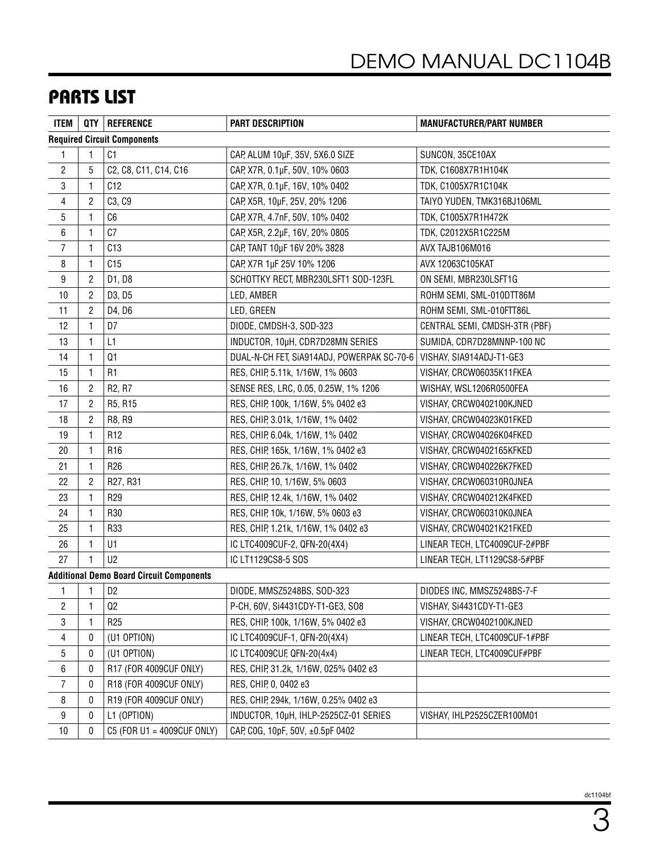# PARTS LIST

| ITEM           |                | QTY   REFERENCE                                 | <b>PART DESCRIPTION</b>                    | <b>MANUFACTURER/PART NUMBER</b> |
|----------------|----------------|-------------------------------------------------|--------------------------------------------|---------------------------------|
|                |                | <b>Required Circuit Components</b>              |                                            |                                 |
| 1              |                | C1                                              | CAP, ALUM 10µF, 35V, 5X6.0 SIZE            | SUNCON, 35CE10AX                |
| $\overline{c}$ | 5              | C2, C8, C11, C14, C16                           | CAP, X7R, 0.1µF, 50V, 10% 0603             | TDK, C1608X7R1H104K             |
| 3              | 1              | C12                                             | CAP, X7R, 0.1µF, 16V, 10% 0402             | TDK, C1005X7R1C104K             |
| 4              | 2              | C3, C9                                          | CAP, X5R, 10µF, 25V, 20% 1206              | TAIYO YUDEN, TMK316BJ106ML      |
| 5              | 1              | C6                                              | CAP, X7R, 4.7nF, 50V, 10% 0402             | TDK, C1005X7R1H472K             |
| 6              |                | C7                                              | CAP, X5R, 2.2µF, 16V, 20% 0805             | TDK, C2012X5R1C225M             |
| $\overline{7}$ | 1              | C13                                             | CAP, TANT 10µF 16V 20% 3828                | AVX TAJB106M016                 |
| 8              | 1              | C15                                             | CAP, X7R 1µF 25V 10% 1206                  | AVX 12063C105KAT                |
| 9              | 2              | D1, D8                                          | SCHOTTKY RECT, MBR230LSFT1 SOD-123FL       | ON SEMI, MBR230LSFT1G           |
| 10             | 2              | D3, D5                                          | LED, AMBER                                 | ROHM SEMI, SML-010DTT86M        |
| 11             | 2              | D4, D6                                          | LED, GREEN                                 | ROHM SEMI, SML-010FTT86L        |
| 12             | 1.             | D7                                              | DIODE, CMDSH-3, SOD-323                    | CENTRAL SEMI, CMDSH-3TR (PBF)   |
| 13             | 1              | L1                                              | INDUCTOR, 10µH, CDR7D28MN SERIES           | SUMIDA, CDR7D28MNNP-100 NC      |
| 14             | 1.             | Q1                                              | DUAL-N-CH FET, SIA914ADJ, POWERPAK SC-70-6 | VISHAY, SIA914ADJ-T1-GE3        |
| 15             | 1              | R <sub>1</sub>                                  | RES, CHIP, 5.11k, 1/16W, 1% 0603           | VISHAY, CRCW06035K11FKEA        |
| 16             | 2              | R <sub>2</sub> , R <sub>7</sub>                 | SENSE RES, LRC, 0.05, 0.25W, 1% 1206       | WISHAY, WSL1206R0500FEA         |
| 17             | $\overline{c}$ | R5, R15                                         | RES, CHIP, 100k, 1/16W, 5% 0402 e3         | VISHAY, CRCW0402100KJNED        |
| 18             | 2              | R8, R9                                          | RES, CHIP, 3.01k, 1/16W, 1% 0402           | VISHAY, CRCW04023K01FKED        |
| 19             | 1.             | R <sub>12</sub>                                 | RES, CHIP, 6.04k, 1/16W, 1% 0402           | VISHAY, CRCW04026K04FKED        |
| $20\,$         | 1              | R <sub>16</sub>                                 | RES, CHIP, 165k, 1/16W, 1% 0402 e3         | VISHAY, CRCW0402165KFKED        |
| 21             | 1              | R <sub>26</sub>                                 | RES, CHIP, 26.7k, 1/16W, 1% 0402           | VISHAY, CRCW040226K7FKED        |
| 22             | $\overline{2}$ | R27, R31                                        | RES, CHIP, 10, 1/16W, 5% 0603              | VISHAY, CRCW060310R0JNEA        |
| 23             | 1              | R <sub>29</sub>                                 | RES, CHIP, 12.4k, 1/16W, 1% 0402           | VISHAY, CRCW040212K4FKED        |
| 24             | 1.             | R30                                             | RES, CHIP, 10k, 1/16W, 5% 0603 e3          | VISHAY, CRCW060310K0JNEA        |
| 25             | 1              | R33                                             | RES, CHIP, 1.21k, 1/16W, 1% 0402 e3        | VISHAY, CRCW04021K21FKED        |
| 26             | 1              | U1                                              | IC LTC4009CUF-2, QFN-20(4X4)               | LINEAR TECH, LTC4009CUF-2#PBF   |
| 27             |                | U <sub>2</sub>                                  | IC LT1129CS8-5 SOS                         | LINEAR TECH, LT1129CS8-5#PBF    |
|                |                | <b>Additional Demo Board Circuit Components</b> |                                            |                                 |
| 1              | 1              | D <sub>2</sub>                                  | DIODE, MMSZ5248BS, SOD-323                 | DIODES INC, MMSZ5248BS-7-F      |
| 2              | 1              | Q2                                              | P-CH, 60V, Si4431CDY-T1-GE3, SO8           | VISHAY, Si4431CDY-T1-GE3        |
| 3              |                | R <sub>25</sub>                                 | RES, CHIP, 100k, 1/16W, 5% 0402 e3         | VISHAY, CRCW0402100KJNED        |
| $\overline{4}$ | 0              | (U1 OPTION)                                     | IC LTC4009CUF-1, QFN-20(4X4)               | LINEAR TECH, LTC4009CUF-1#PBF   |
| 5              | 0              | (U1 OPTION)                                     | IC LTC4009CUF, QFN-20(4x4)                 | LINEAR TECH, LTC4009CUF#PBF     |
| 6              | 0              | R17 (FOR 4009CUF ONLY)                          | RES, CHIP, 31.2k, 1/16W, 025% 0402 e3      |                                 |
| $\overline{7}$ | 0              | R18 (FOR 4009CUF ONLY)                          | RES, CHIP, 0, 0402 e3                      |                                 |
| 8              | 0              | R19 (FOR 4009CUF ONLY)                          | RES, CHIP, 294k, 1/16W, 0.25% 0402 e3      |                                 |
| 9              | 0              | L1 (OPTION)                                     | INDUCTOR, 10µH, IHLP-2525CZ-01 SERIES      | VISHAY, IHLP2525CZER100M01      |
| 10             | 0              | C5 (FOR U1 = 4009CUF ONLY)                      | CAP, COG, 10pF, 50V, ±0.5pF 0402           |                                 |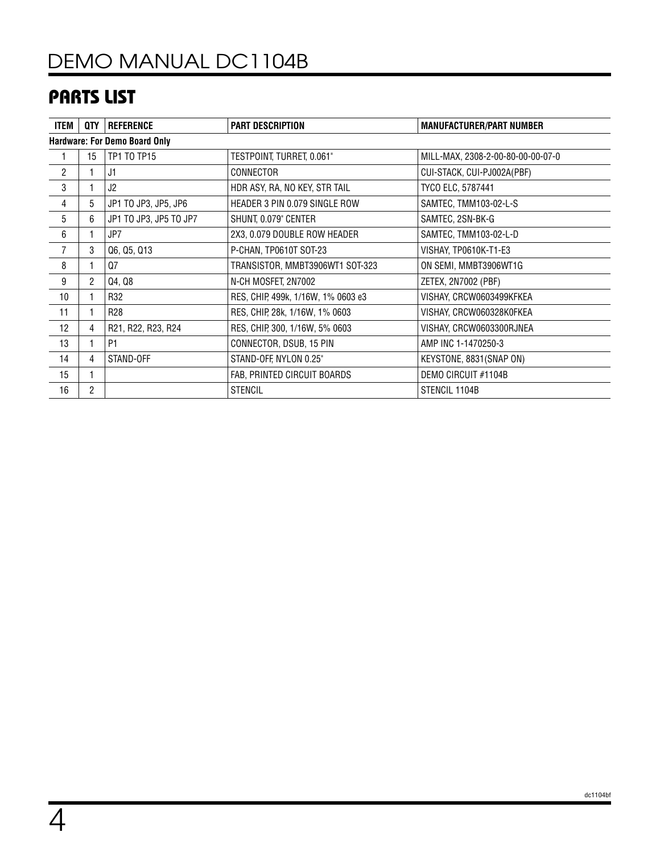# PARTS LIST

| <b>ITEM</b>                          | QTY            | <b>REFERENCE</b>       | <b>PART DESCRIPTION</b>            | <b>MANUFACTURER/PART NUMBER</b>   |  |  |  |
|--------------------------------------|----------------|------------------------|------------------------------------|-----------------------------------|--|--|--|
| <b>Hardware: For Demo Board Only</b> |                |                        |                                    |                                   |  |  |  |
|                                      | 15             | <b>TP1 TO TP15</b>     | TESTPOINT, TURRET, 0.061"          | MILL-MAX, 2308-2-00-80-00-00-07-0 |  |  |  |
| $\overline{2}$                       |                | J1                     | CONNECTOR                          | CUI-STACK, CUI-PJ002A(PBF)        |  |  |  |
| 3                                    |                | J2                     | HDR ASY, RA, NO KEY, STR TAIL      | TYCO ELC, 5787441                 |  |  |  |
| 4                                    | 5              | JP1 TO JP3, JP5, JP6   | HEADER 3 PIN 0.079 SINGLE ROW      | SAMTEC, TMM103-02-L-S             |  |  |  |
| 5                                    | 6              | JP1 TO JP3, JP5 TO JP7 | SHUNT, 0.079" CENTER               | SAMTEC, 2SN-BK-G                  |  |  |  |
| 6                                    |                | JP7                    | 2X3, 0.079 DOUBLE ROW HEADER       | SAMTEC, TMM103-02-L-D             |  |  |  |
| $\overline{7}$                       | 3              | Q6, Q5, Q13            | P-CHAN, TP0610T SOT-23             | VISHAY, TP0610K-T1-E3             |  |  |  |
| 8                                    |                | Q7                     | TRANSISTOR, MMBT3906WT1 SOT-323    | ON SEMI, MMBT3906WT1G             |  |  |  |
| 9                                    | $\overline{2}$ | Q4, Q8                 | N-CH MOSFET, 2N7002                | ZETEX, 2N7002 (PBF)               |  |  |  |
| 10                                   |                | R32                    | RES, CHIP, 499k, 1/16W, 1% 0603 e3 | VISHAY, CRCW0603499KFKEA          |  |  |  |
| 11                                   |                | R <sub>28</sub>        | RES, CHIP, 28k, 1/16W, 1% 0603     | VISHAY, CRCW060328K0FKEA          |  |  |  |
| 12                                   | 4              | R21, R22, R23, R24     | RES, CHIP, 300, 1/16W, 5% 0603     | VISHAY, CRCW0603300RJNEA          |  |  |  |
| 13                                   |                | <b>P1</b>              | CONNECTOR, DSUB, 15 PIN            | AMP INC 1-1470250-3               |  |  |  |
| 14                                   | 4              | STAND-OFF              | STAND-OFF, NYLON 0.25"             | KEYSTONE, 8831(SNAP ON)           |  |  |  |
| 15                                   |                |                        | FAB, PRINTED CIRCUIT BOARDS        | DEMO CIRCUIT #1104B               |  |  |  |
| 16                                   | $\overline{2}$ |                        | <b>STENCIL</b>                     | STENCIL 1104B                     |  |  |  |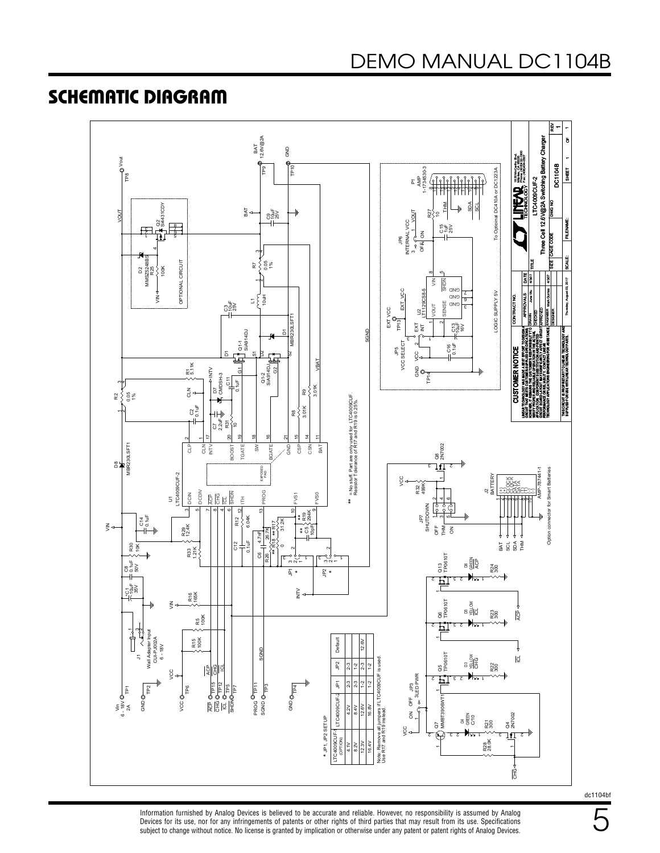### SCHEMATIC DIAGRAM



Information furnished by Analog Devices is believed to be accurate and reliable. However, no responsibility is assumed by Analog Devices for its use, nor for any infringements of patents or other rights of third parties that may result from its use. Specifications subject to change without notice. No license is granted by implication or otherwise under any patent or patent rights of Analog Devices.

dc1104bf

5